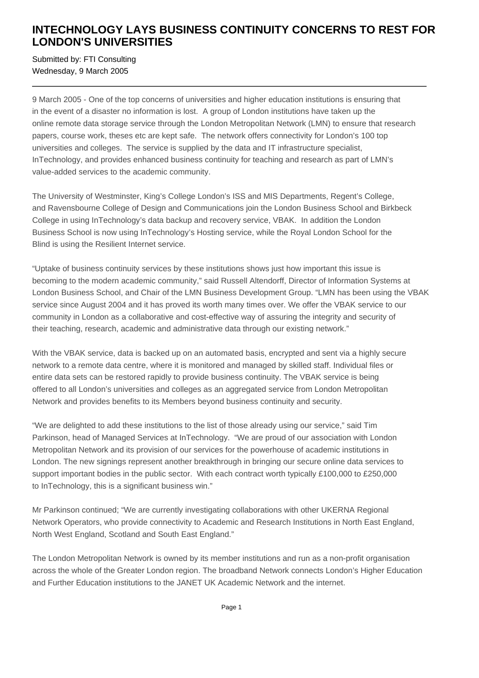## **INTECHNOLOGY LAYS BUSINESS CONTINUITY CONCERNS TO REST FOR LONDON'S UNIVERSITIES**

Submitted by: FTI Consulting Wednesday, 9 March 2005

9 March 2005 - One of the top concerns of universities and higher education institutions is ensuring that in the event of a disaster no information is lost. A group of London institutions have taken up the online remote data storage service through the London Metropolitan Network (LMN) to ensure that research papers, course work, theses etc are kept safe. The network offers connectivity for London's 100 top universities and colleges. The service is supplied by the data and IT infrastructure specialist, InTechnology, and provides enhanced business continuity for teaching and research as part of LMN's value-added services to the academic community.

The University of Westminster, King's College London's ISS and MIS Departments, Regent's College, and Ravensbourne College of Design and Communications join the London Business School and Birkbeck College in using InTechnology's data backup and recovery service, VBAK. In addition the London Business School is now using InTechnology's Hosting service, while the Royal London School for the Blind is using the Resilient Internet service.

"Uptake of business continuity services by these institutions shows just how important this issue is becoming to the modern academic community," said Russell Altendorff, Director of Information Systems at London Business School, and Chair of the LMN Business Development Group. "LMN has been using the VBAK service since August 2004 and it has proved its worth many times over. We offer the VBAK service to our community in London as a collaborative and cost-effective way of assuring the integrity and security of their teaching, research, academic and administrative data through our existing network."

With the VBAK service, data is backed up on an automated basis, encrypted and sent via a highly secure network to a remote data centre, where it is monitored and managed by skilled staff. Individual files or entire data sets can be restored rapidly to provide business continuity. The VBAK service is being offered to all London's universities and colleges as an aggregated service from London Metropolitan Network and provides benefits to its Members beyond business continuity and security.

"We are delighted to add these institutions to the list of those already using our service," said Tim Parkinson, head of Managed Services at InTechnology. "We are proud of our association with London Metropolitan Network and its provision of our services for the powerhouse of academic institutions in London. The new signings represent another breakthrough in bringing our secure online data services to support important bodies in the public sector. With each contract worth typically £100,000 to £250,000 to InTechnology, this is a significant business win."

Mr Parkinson continued; "We are currently investigating collaborations with other UKERNA Regional Network Operators, who provide connectivity to Academic and Research Institutions in North East England, North West England, Scotland and South East England."

The London Metropolitan Network is owned by its member institutions and run as a non-profit organisation across the whole of the Greater London region. The broadband Network connects London's Higher Education and Further Education institutions to the JANET UK Academic Network and the internet.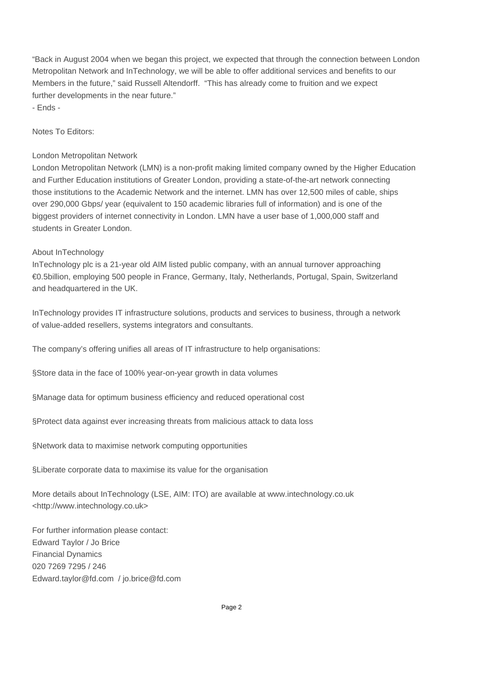"Back in August 2004 when we began this project, we expected that through the connection between London Metropolitan Network and InTechnology, we will be able to offer additional services and benefits to our Members in the future," said Russell Altendorff. "This has already come to fruition and we expect further developments in the near future." - Ends -

Notes To Editors:

## London Metropolitan Network

London Metropolitan Network (LMN) is a non-profit making limited company owned by the Higher Education and Further Education institutions of Greater London, providing a state-of-the-art network connecting those institutions to the Academic Network and the internet. LMN has over 12,500 miles of cable, ships over 290,000 Gbps/ year (equivalent to 150 academic libraries full of information) and is one of the biggest providers of internet connectivity in London. LMN have a user base of 1,000,000 staff and students in Greater London.

## About InTechnology

InTechnology plc is a 21-year old AIM listed public company, with an annual turnover approaching €0.5billion, employing 500 people in France, Germany, Italy, Netherlands, Portugal, Spain, Switzerland and headquartered in the UK.

InTechnology provides IT infrastructure solutions, products and services to business, through a network of value-added resellers, systems integrators and consultants.

The company's offering unifies all areas of IT infrastructure to help organisations:

§ Store data in the face of 100% year-on-year growth in data volumes

§ Manage data for optimum business efficiency and reduced operational cost

§ Protect data against ever increasing threats from malicious attack to data loss

§ Network data to maximise network computing opportunities

§ Liberate corporate data to maximise its value for the organisation

More details about InTechnology (LSE, AIM: ITO) are available at www.intechnology.co.uk <http://www.intechnology.co.uk>

For further information please contact: Edward Taylor / Jo Brice Financial Dynamics 020 7269 7295 / 246 Edward.taylor@fd.com / jo.brice@fd.com